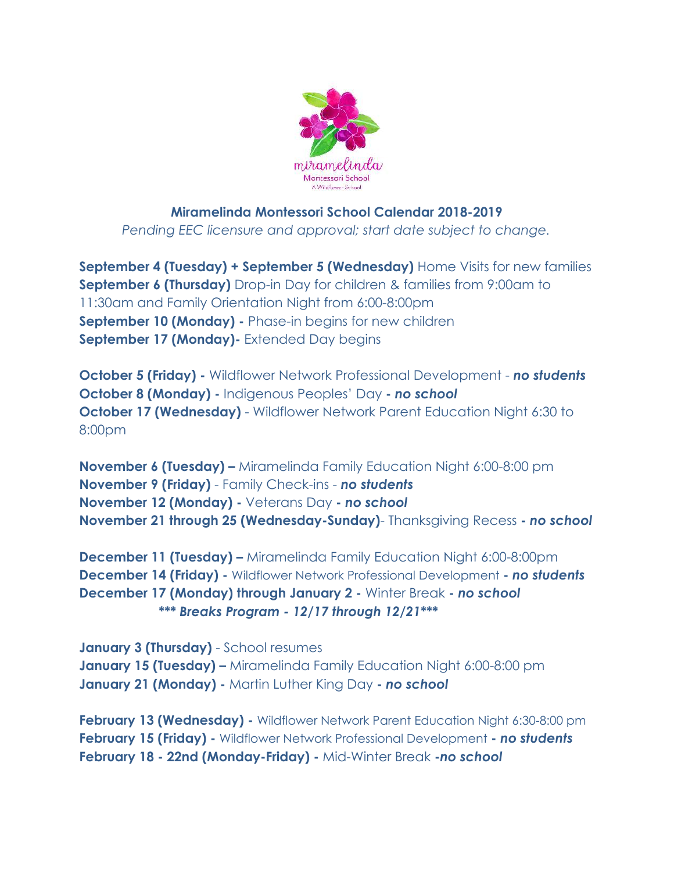

## **Miramelinda Montessori School Calendar 2018-2019**

*Pending EEC licensure and approval; start date subject to change.* 

**September 4 (Tuesday) + September 5 (Wednesday)** Home Visits for new families **September 6 (Thursday)** Drop-in Day for children & families from 9:00am to 11:30am and Family Orientation Night from 6:00-8:00pm **September 10 (Monday) - Phase-in begins for new children September 17 (Monday)-** Extended Day begins

**October 5 (Friday) -** Wildflower Network Professional Development - *no students*  **October 8 (Monday) -** Indigenous Peoples' Day **-** *no school* **October 17 (Wednesday)** - Wildflower Network Parent Education Night 6:30 to 8:00pm

**November 6 (Tuesday) –** Miramelinda Family Education Night 6:00-8:00 pm **November 9 (Friday)** - Family Check-ins - *no students*  **November 12 (Monday) -** Veterans Day **-** *no school* **November 21 through 25 (Wednesday-Sunday)**- Thanksgiving Recess **-** *no school* 

**December 11 (Tuesday) –** Miramelinda Family Education Night 6:00-8:00pm **December 14 (Friday) -** Wildflower Network Professional Development **-** *no students* **December 17 (Monday) through January 2 -** Winter Break **-** *no school \*\*\* Breaks Program - 12/17 through 12/21***\*\*\*** 

**January 3 (Thursday)** - School resumes **January 15 (Tuesday) –** Miramelinda Family Education Night 6:00-8:00 pm **January 21 (Monday) -** Martin Luther King Day **-** *no school*

**February 13 (Wednesday) -** Wildflower Network Parent Education Night 6:30-8:00 pm **February 15 (Friday) -** Wildflower Network Professional Development **-** *no students*  **February 18 - 22nd (Monday-Friday) -** Mid-Winter Break **-***no school*